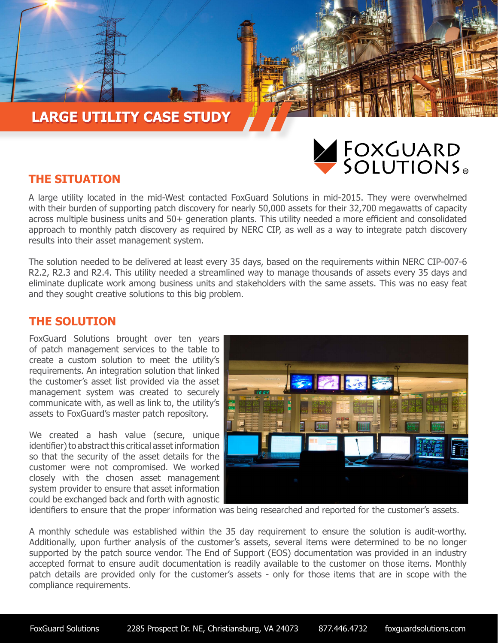# **LARGE UTILITY CASE STUDY LARGE UTILITY CASE STUDY**



### **THE SITUATION**

A large utility located in the mid-West contacted FoxGuard Solutions in mid-2015. They were overwhelmed with their burden of supporting patch discovery for nearly 50,000 assets for their 32,700 megawatts of capacity across multiple business units and 50+ generation plants. This utility needed a more efficient and consolidated approach to monthly patch discovery as required by NERC CIP, as well as a way to integrate patch discovery results into their asset management system.

The solution needed to be delivered at least every 35 days, based on the requirements within NERC CIP-007-6 R2.2, R2.3 and R2.4. This utility needed a streamlined way to manage thousands of assets every 35 days and eliminate duplicate work among business units and stakeholders with the same assets. This was no easy feat and they sought creative solutions to this big problem.

#### **THE SOLUTION**

FoxGuard Solutions brought over ten years of patch management services to the table to create a custom solution to meet the utility's requirements. An integration solution that linked the customer's asset list provided via the asset management system was created to securely communicate with, as well as link to, the utility's assets to FoxGuard's master patch repository.

We created a hash value (secure, unique identifier) to abstract this critical asset information so that the security of the asset details for the customer were not compromised. We worked closely with the chosen asset management system provider to ensure that asset information could be exchanged back and forth with agnostic



identifiers to ensure that the proper information was being researched and reported for the customer's assets.

A monthly schedule was established within the 35 day requirement to ensure the solution is audit-worthy. Additionally, upon further analysis of the customer's assets, several items were determined to be no longer supported by the patch source vendor. The End of Support (EOS) documentation was provided in an industry accepted format to ensure audit documentation is readily available to the customer on those items. Monthly patch details are provided only for the customer's assets - only for those items that are in scope with the compliance requirements.